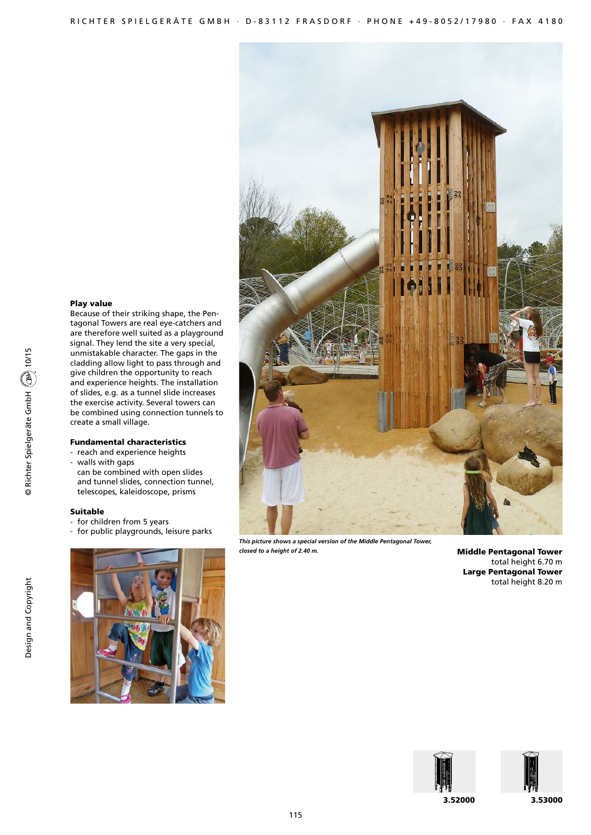# Play value

Because of their striking shape, the Pentagonal Towers are real eye-catchers and are therefore well suited as a playground signal. They lend the site a very special, unmistakable character. The gaps in the cladding allow light to pass through and give children the opportunity to reach and experience heights. The installation of slides, e.g. as a tunnel slide increases the exercise activity. Several towers can be combined using connection tunnels to create a small village.

# Fundamental characteristics

- reach and experience heights
- walls with gaps can be combined with open slides and tunnel slides, connection tunnel, telescopes, kaleidoscope, prisms

## Suitable

- for children from 5 years
- for public playgrounds, leisure parks





*This picture shows a special version of the Middle Pentagonal Tower, closed to a height of 2.40 m.*

Middle Pentagonal Tower total height 6.70 m Large Pentagonal Tower total height 8.20 m